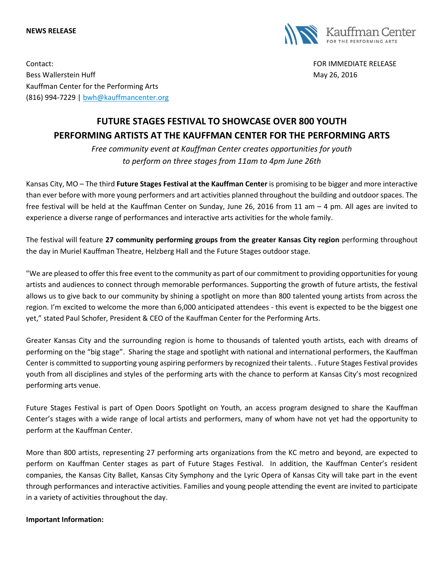#### **NEWS RELEASE**



Contact: FOR IMMEDIATE RELEASE Bess Wallerstein Huff **May 26, 2016** Nay 26, 2016 Kauffman Center for the Performing Arts (816) 994-7229 | [bwh@kauffmancenter.org](mailto:bwh@kauffmancenter.org)

# **FUTURE STAGES FESTIVAL TO SHOWCASE OVER 800 YOUTH PERFORMING ARTISTS AT THE KAUFFMAN CENTER FOR THE PERFORMING ARTS**

*Free community event at Kauffman Center creates opportunities for youth to perform on three stages from 11am to 4pm June 26th*

Kansas City, MO – The third **Future Stages Festival at the Kauffman Center** is promising to be bigger and more interactive than ever before with more young performers and art activities planned throughout the building and outdoor spaces. The free festival will be held at the Kauffman Center on Sunday, June 26, 2016 from 11 am – 4 pm. All ages are invited to experience a diverse range of performances and interactive arts activities for the whole family.

The festival will feature **27 community performing groups from the greater Kansas City region** performing throughout the day in Muriel Kauffman Theatre, Helzberg Hall and the Future Stages outdoor stage.

"We are pleased to offer this free event to the community as part of our commitment to providing opportunities for young artists and audiences to connect through memorable performances. Supporting the growth of future artists, the festival allows us to give back to our community by shining a spotlight on more than 800 talented young artists from across the region. I'm excited to welcome the more than 6,000 anticipated attendees - this event is expected to be the biggest one yet," stated Paul Schofer, President & CEO of the Kauffman Center for the Performing Arts.

Greater Kansas City and the surrounding region is home to thousands of talented youth artists, each with dreams of performing on the "big stage". Sharing the stage and spotlight with national and international performers, the Kauffman Center is committed to supporting young aspiring performers by recognized their talents. . Future Stages Festival provides youth from all disciplines and styles of the performing arts with the chance to perform at Kansas City's most recognized performing arts venue.

Future Stages Festival is part of Open Doors Spotlight on Youth, an access program designed to share the Kauffman Center's stages with a wide range of local artists and performers, many of whom have not yet had the opportunity to perform at the Kauffman Center.

More than 800 artists, representing 27 performing arts organizations from the KC metro and beyond, are expected to perform on Kauffman Center stages as part of Future Stages Festival. In addition, the Kauffman Center's resident companies, the Kansas City Ballet, Kansas City Symphony and the Lyric Opera of Kansas City will take part in the event through performances and interactive activities. Families and young people attending the event are invited to participate in a variety of activities throughout the day.

### **Important Information:**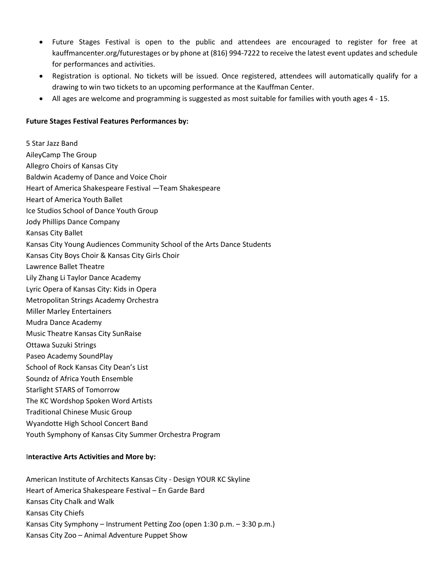- Future Stages Festival is open to the public and attendees are encouraged to register for free at kauffmancenter.org/futurestages or by phone at (816) 994-7222 to receive the latest event updates and schedule for performances and activities.
- Registration is optional. No tickets will be issued. Once registered, attendees will automatically qualify for a drawing to win two tickets to an upcoming performance at the Kauffman Center.
- All ages are welcome and programming is suggested as most suitable for families with youth ages 4 15.

### **Future Stages Festival Features Performances by:**

5 Star Jazz Band AileyCamp The Group Allegro Choirs of Kansas City Baldwin Academy of Dance and Voice Choir Heart of America Shakespeare Festival —Team Shakespeare Heart of America Youth Ballet Ice Studios School of Dance Youth Group Jody Phillips Dance Company Kansas City Ballet Kansas City Young Audiences Community School of the Arts Dance Students Kansas City Boys Choir & Kansas City Girls Choir Lawrence Ballet Theatre Lily Zhang Li Taylor Dance Academy Lyric Opera of Kansas City: Kids in Opera Metropolitan Strings Academy Orchestra Miller Marley Entertainers Mudra Dance Academy Music Theatre Kansas City SunRaise Ottawa Suzuki Strings Paseo Academy SoundPlay School of Rock Kansas City Dean's List Soundz of Africa Youth Ensemble Starlight STARS of Tomorrow The KC Wordshop Spoken Word Artists Traditional Chinese Music Group Wyandotte High School Concert Band Youth Symphony of Kansas City Summer Orchestra Program

### I**nteractive Arts Activities and More by:**

American Institute of Architects Kansas City - Design YOUR KC Skyline Heart of America Shakespeare Festival – En Garde Bard Kansas City Chalk and Walk Kansas City Chiefs Kansas City Symphony – Instrument Petting Zoo (open 1:30 p.m. – 3:30 p.m.) Kansas City Zoo – Animal Adventure Puppet Show